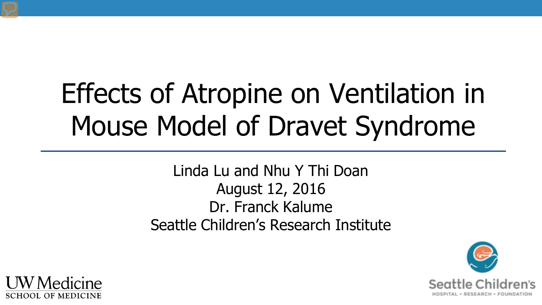# Effects of Atropine on Ventilation in Mouse Model of Dravet Syndrome

Linda Lu and Nhu Y Thi Doan August 12, 2016 Dr. Franck Kalume Seattle Children's Research Institute



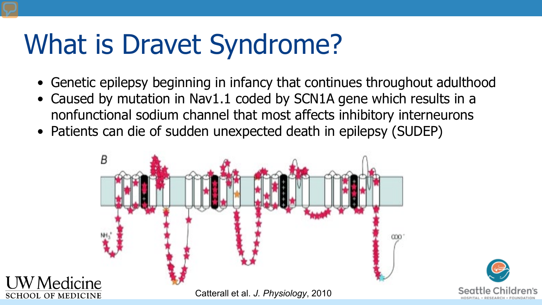# What is Dravet Syndrome?

- Genetic epilepsy beginning in infancy that continues throughout adulthood
- Caused by mutation in Nav1.1 coded by SCN1A gene which results in a nonfunctional sodium channel that most affects inhibitory interneurons
- Patients can die of sudden unexpected death in epilepsy (SUDEP)

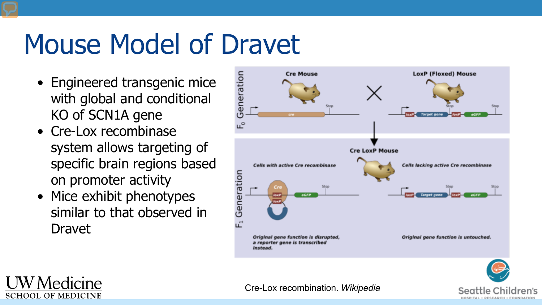### Mouse Model of Dravet

- Engineered transgenic mice with global and conditional KO of SCN1A gene
- Cre-Lox recombinase system allows targeting of specific brain regions based on promoter activity
- Mice exhibit phenotypes similar to that observed in Dravet



Seattle

HOSPITAL . RESEARCH . FOUNDATIO



Cre-Lox recombination. *Wikipedia*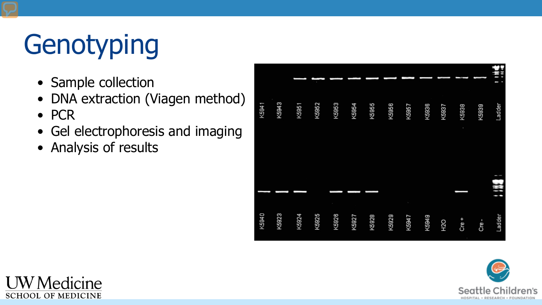# **Genotyping**

- Sample collection
- DNA extraction (Viagen method)
- PCR
- Gel electrophoresis and imaging
- Analysis of results





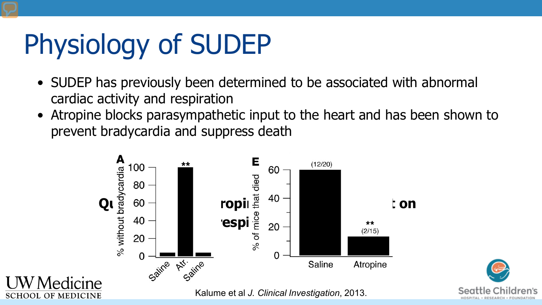# Physiology of SUDEP

- SUDEP has previously been determined to be associated with abnormal cardiac activity and respiration
- Atropine blocks parasympathetic input to the heart and has been shown to prevent bradycardia and suppress death

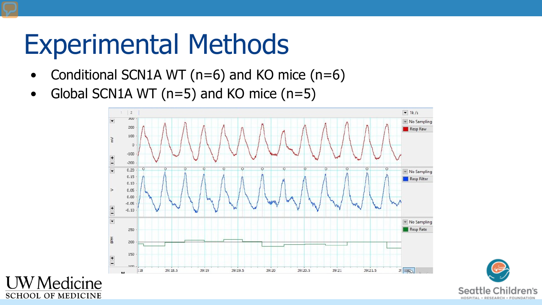# Experimental Methods

**SCHOOL OF MEDICINE** 

- Conditional SCN1A WT (n=6) and KO mice (n=6)
- Global SCN1A WT ( $n=5$ ) and KO mice ( $n=5$ )



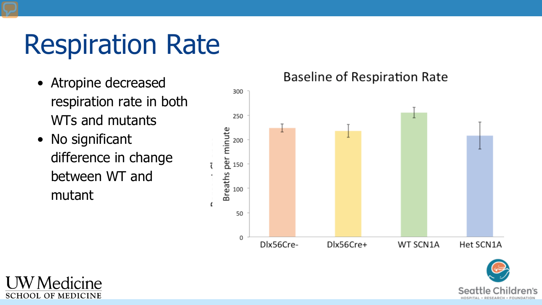# Respiration Rate

- Atropine decreased respiration rate in both WTs and mutants
- No significant difference in change between WT and mutant

#### **Baseline of Respiration Rate**



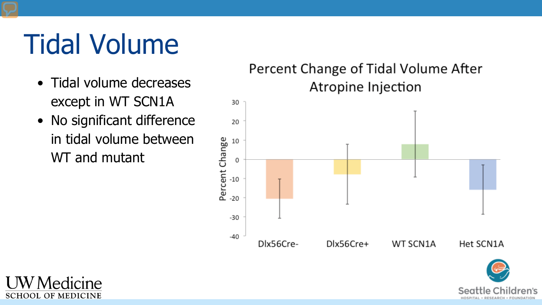# Tidal Volume

- Tidal volume decreases except in WT SCN1A
- No significant difference in tidal volume between WT and mutant

#### Percent Change of Tidal Volume After Atropine Injection





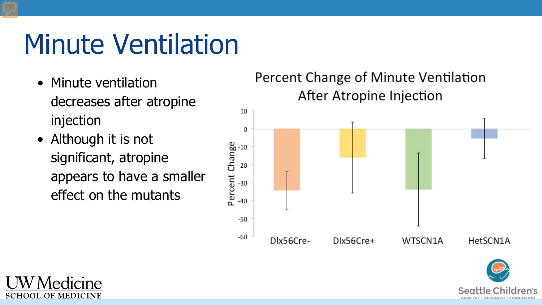# Minute Ventilation

- Minute ventilation decreases after atropine injection
- Although it is not significant, atropine appears to have a smaller effect on the mutants

### Percent Change of Minute Ventilation After Atropine Injection 10





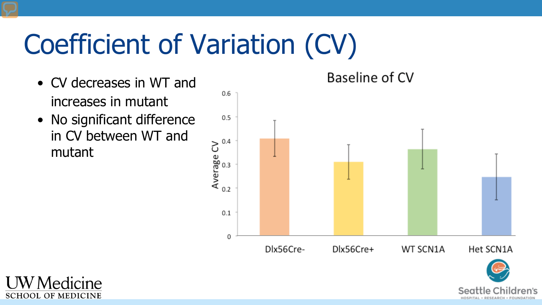# Coefficient of Variation (CV)

- CV decreases in WT and increases in mutant
- No significant difference in CV between WT and mutant

Baseline of CV



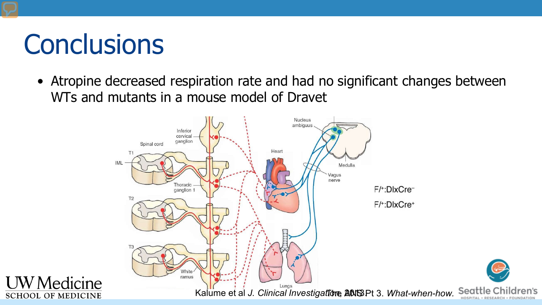### **Conclusions**

• Atropine decreased respiration rate and had no significant changes between WTs and mutants in a mouse model of Dravet



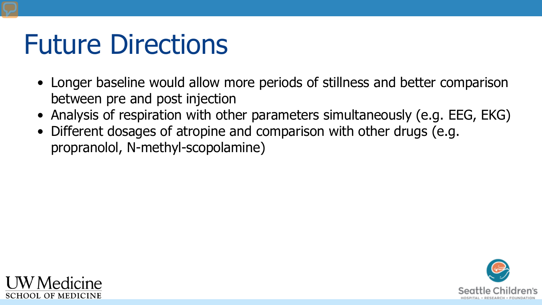### Future Directions

- Longer baseline would allow more periods of stillness and better comparison between pre and post injection
- Analysis of respiration with other parameters simultaneously (e.g. EEG, EKG)
- Different dosages of atropine and comparison with other drugs (e.g. propranolol, N-methyl-scopolamine)



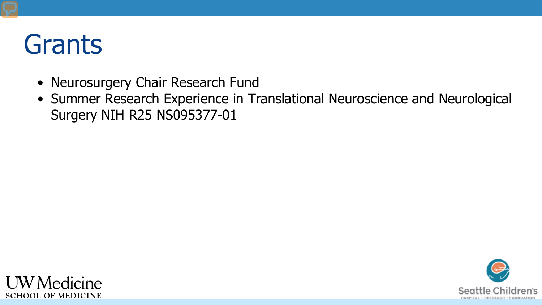### Grants

- Neurosurgery Chair Research Fund
- Summer Research Experience in Translational Neuroscience and Neurological Surgery NIH R25 NS095377-01